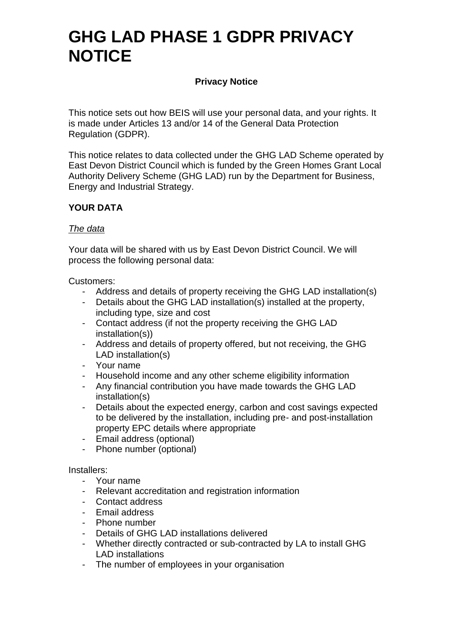### **Privacy Notice**

This notice sets out how BEIS will use your personal data, and your rights. It is made under Articles 13 and/or 14 of the General Data Protection Regulation (GDPR).

This notice relates to data collected under the GHG LAD Scheme operated by East Devon District Council which is funded by the Green Homes Grant Local Authority Delivery Scheme (GHG LAD) run by the Department for Business, Energy and Industrial Strategy.

## **YOUR DATA**

#### *The data*

Your data will be shared with us by East Devon District Council. We will process the following personal data:

Customers:

- Address and details of property receiving the GHG LAD installation(s)
- Details about the GHG LAD installation(s) installed at the property, including type, size and cost
- Contact address (if not the property receiving the GHG LAD installation(s))
- Address and details of property offered, but not receiving, the GHG LAD installation(s)
- Your name
- Household income and any other scheme eligibility information
- Any financial contribution you have made towards the GHG LAD installation(s)
- Details about the expected energy, carbon and cost savings expected to be delivered by the installation, including pre- and post-installation property EPC details where appropriate
- Email address (optional)
- Phone number (optional)

### Installers:

- Your name
- Relevant accreditation and registration information
- Contact address
- Email address
- Phone number
- Details of GHG LAD installations delivered
- Whether directly contracted or sub-contracted by LA to install GHG LAD installations
- The number of employees in your organisation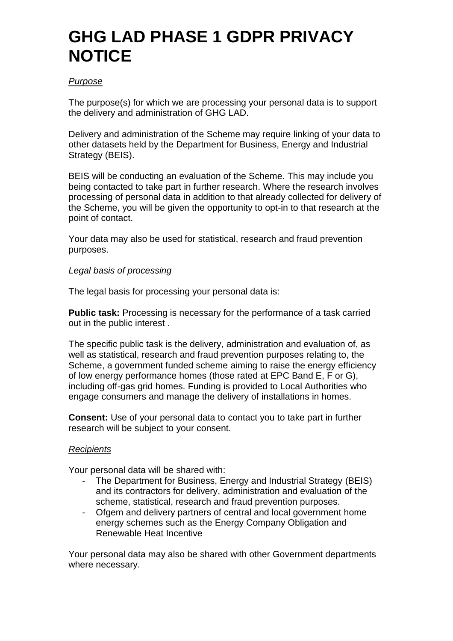### *Purpose*

The purpose(s) for which we are processing your personal data is to support the delivery and administration of GHG LAD.

Delivery and administration of the Scheme may require linking of your data to other datasets held by the Department for Business, Energy and Industrial Strategy (BEIS).

BEIS will be conducting an evaluation of the Scheme. This may include you being contacted to take part in further research. Where the research involves processing of personal data in addition to that already collected for delivery of the Scheme, you will be given the opportunity to opt-in to that research at the point of contact.

Your data may also be used for statistical, research and fraud prevention purposes.

### *Legal basis of processing*

The legal basis for processing your personal data is:

**Public task:** Processing is necessary for the performance of a task carried out in the public interest .

The specific public task is the delivery, administration and evaluation of, as well as statistical, research and fraud prevention purposes relating to, the Scheme, a government funded scheme aiming to raise the energy efficiency of low energy performance homes (those rated at EPC Band E, F or G), including off-gas grid homes. Funding is provided to Local Authorities who engage consumers and manage the delivery of installations in homes.

**Consent:** Use of your personal data to contact you to take part in further research will be subject to your consent.

### *Recipients*

Your personal data will be shared with:

- The Department for Business, Energy and Industrial Strategy (BEIS) and its contractors for delivery, administration and evaluation of the scheme, statistical, research and fraud prevention purposes.
- Ofgem and delivery partners of central and local government home energy schemes such as the Energy Company Obligation and Renewable Heat Incentive

Your personal data may also be shared with other Government departments where necessary.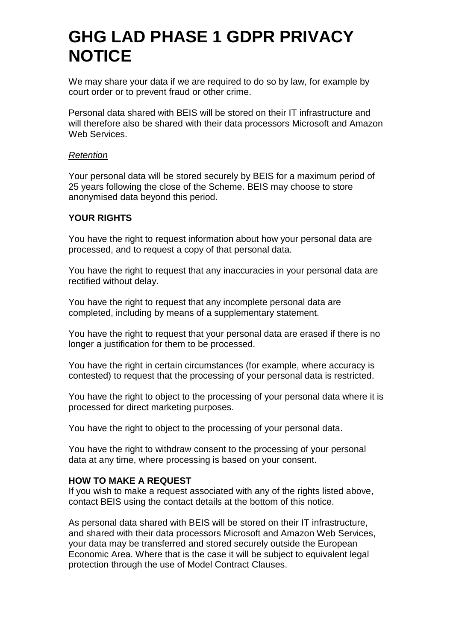We may share your data if we are required to do so by law, for example by court order or to prevent fraud or other crime.

Personal data shared with BEIS will be stored on their IT infrastructure and will therefore also be shared with their data processors Microsoft and Amazon Web Services.

#### *Retention*

Your personal data will be stored securely by BEIS for a maximum period of 25 years following the close of the Scheme. BEIS may choose to store anonymised data beyond this period.

### **YOUR RIGHTS**

You have the right to request information about how your personal data are processed, and to request a copy of that personal data.

You have the right to request that any inaccuracies in your personal data are rectified without delay.

You have the right to request that any incomplete personal data are completed, including by means of a supplementary statement.

You have the right to request that your personal data are erased if there is no longer a justification for them to be processed.

You have the right in certain circumstances (for example, where accuracy is contested) to request that the processing of your personal data is restricted.

You have the right to object to the processing of your personal data where it is processed for direct marketing purposes.

You have the right to object to the processing of your personal data.

You have the right to withdraw consent to the processing of your personal data at any time, where processing is based on your consent.

### **HOW TO MAKE A REQUEST**

If you wish to make a request associated with any of the rights listed above, contact BEIS using the contact details at the bottom of this notice.

As personal data shared with BEIS will be stored on their IT infrastructure, and shared with their data processors Microsoft and Amazon Web Services, your data may be transferred and stored securely outside the European Economic Area. Where that is the case it will be subject to equivalent legal protection through the use of Model Contract Clauses.